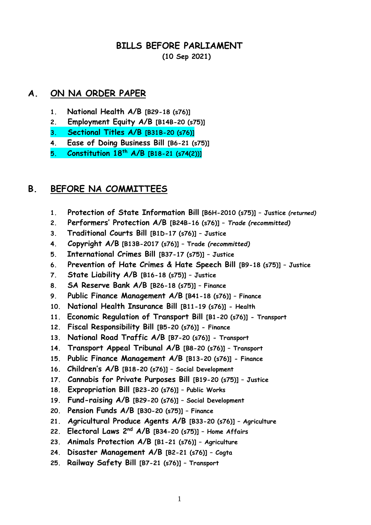#### **BILLS BEFORE PARLIAMENT (10 Sep 2021)**

#### **A. ON NA ORDER PAPER**

- **1. National Health A/B [B29-18 (s76)]**
- **2. Employment Equity A/B [B14B-20 (s75)]**
- **3. Sectional Titles A/B [B31B-20 (s76)]**
- **4. Ease of Doing Business Bill [B6-21 (s75)]**
- **5. Constitution 18th A/B [B18-21 (s74(2))]**

## **B. BEFORE NA COMMITTEES**

- **1. Protection of State Information Bill [B6H-2010 (s75)] – Justice** *(returned)*
- **2. Performers' Protection A/B [B24B-16 (s76)] –** *Trade (recommitted)*
- **3. Traditional Courts Bill [B1D-17 (s76)] – Justice**
- **4. Copyright A/B [B13B-2017 (s76)] – Trade** *(recommitted)*
- **5. International Crimes Bill [B37-17 (s75)] – Justice**
- **6. Prevention of Hate Crimes & Hate Speech Bill [B9-18 (s75)] – Justice**
- **7. State Liability A/B [B16-18 (s75)] – Justice**
- **8. SA Reserve Bank A/B [B26-18 (s75)] – Finance**
- **9. Public Finance Management A/B [B41-18 (s76)] – Finance**
- **10. National Health Insurance Bill [B11-19 (s76)] - Health**
- **11. Economic Regulation of Transport Bill [B1-20 (s76)] - Transport**
- **12. Fiscal Responsibility Bill [B5-20 (s76)] - Finance**
- **13. National Road Traffic A/B [B7-20 (s76)] - Transport**
- **14. Transport Appeal Tribunal A/B [B8-20 (s76)] – Transport**
- **15. Public Finance Management A/B [B13-20 (s76)] - Finance**
- **16. Children's A/B [B18-20 (s76)] – Social Development**
- **17. Cannabis for Private Purposes Bill [B19-20 (s75)] – Justice**
- **18. Expropriation Bill [B23-20 (s76)] – Public Works**
- **19. Fund-raising A/B [B29-20 (s76)] – Social Development**
- **20. Pension Funds A/B [B30-20 (s75)] – Finance**
- **21. Agricultural Produce Agents A/B [B33-20 (s76)] – Agriculture**
- **22. Electoral Laws 2nd A/B [B34-20 (s75)] – Home Affairs**
- **23. Animals Protection A/B [B1-21 (s76)] – Agriculture**
- **24. Disaster Management A/B [B2-21 (s76)] – Cogta**
- **25. Railway Safety Bill [B7-21 (s76)] – Transport**